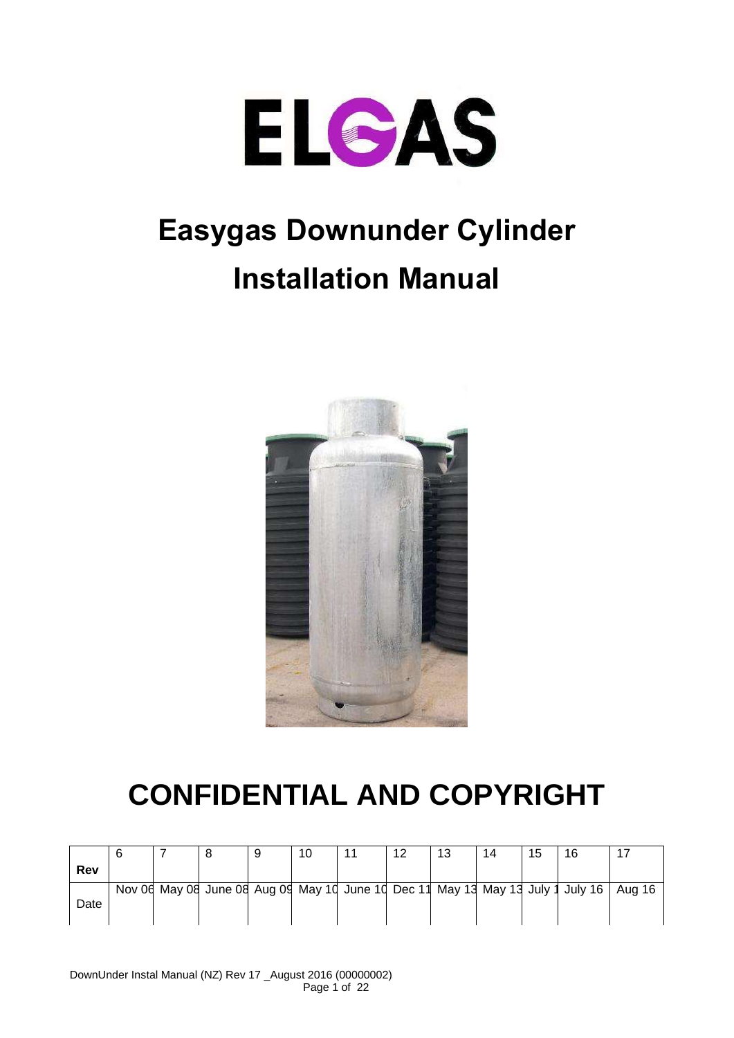

# **Easygas Downunder Cylinder Installation Manual**



# **CONFIDENTIAL AND COPYRIGHT**

|      |  | 9 | 10 | 12 | 13 | 14 | 15 | 16                                                                              |        |
|------|--|---|----|----|----|----|----|---------------------------------------------------------------------------------|--------|
| Rev  |  |   |    |    |    |    |    |                                                                                 |        |
|      |  |   |    |    |    |    |    | Nov 06 May 08 June 08 Aug 09 May 10 June 10 Dec 11 May 13 May 13 July 1 July 16 | Aug 16 |
| Date |  |   |    |    |    |    |    |                                                                                 |        |
|      |  |   |    |    |    |    |    |                                                                                 |        |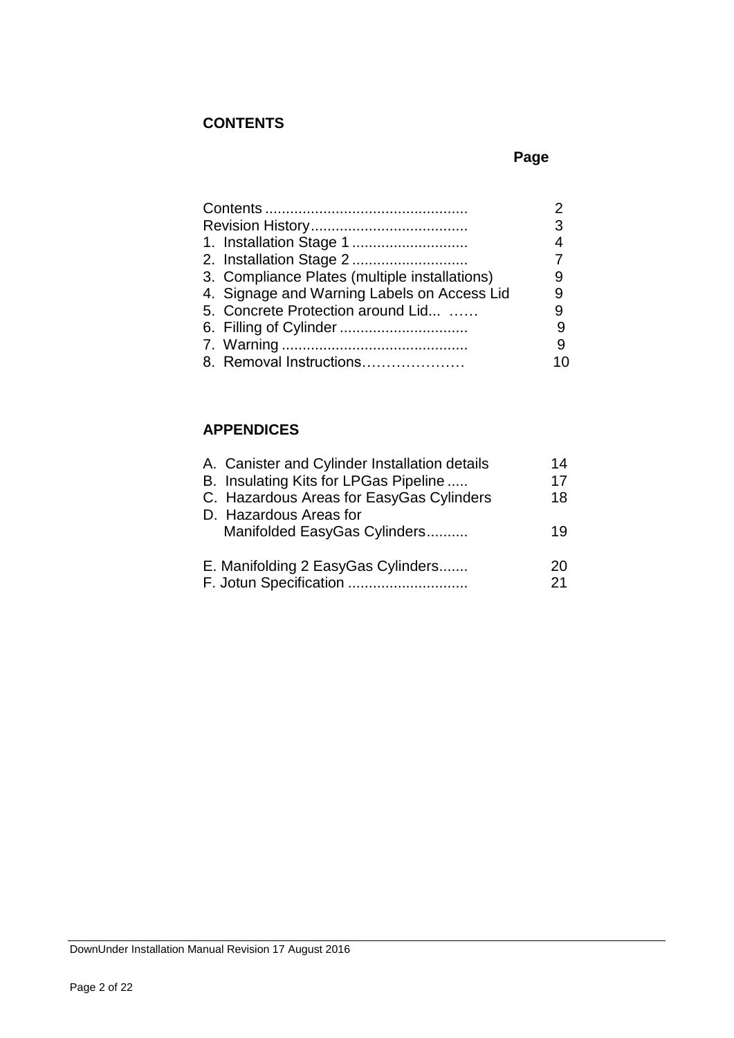# **CONTENTS**

# **Page**

|                                               | 3   |
|-----------------------------------------------|-----|
|                                               |     |
|                                               |     |
| 3. Compliance Plates (multiple installations) |     |
| 4. Signage and Warning Labels on Access Lid   |     |
| 5. Concrete Protection around Lid             |     |
|                                               |     |
|                                               | 9   |
| 8. Removal Instructions                       | 1 በ |

# **APPENDICES**

| A. Canister and Cylinder Installation details | 14 |
|-----------------------------------------------|----|
| B. Insulating Kits for LPGas Pipeline         | 17 |
| C. Hazardous Areas for EasyGas Cylinders      | 18 |
| D. Hazardous Areas for                        |    |
| Manifolded EasyGas Cylinders                  | 19 |
| E. Manifolding 2 EasyGas Cylinders            | 20 |
| F. Jotun Specification<br>                    | 21 |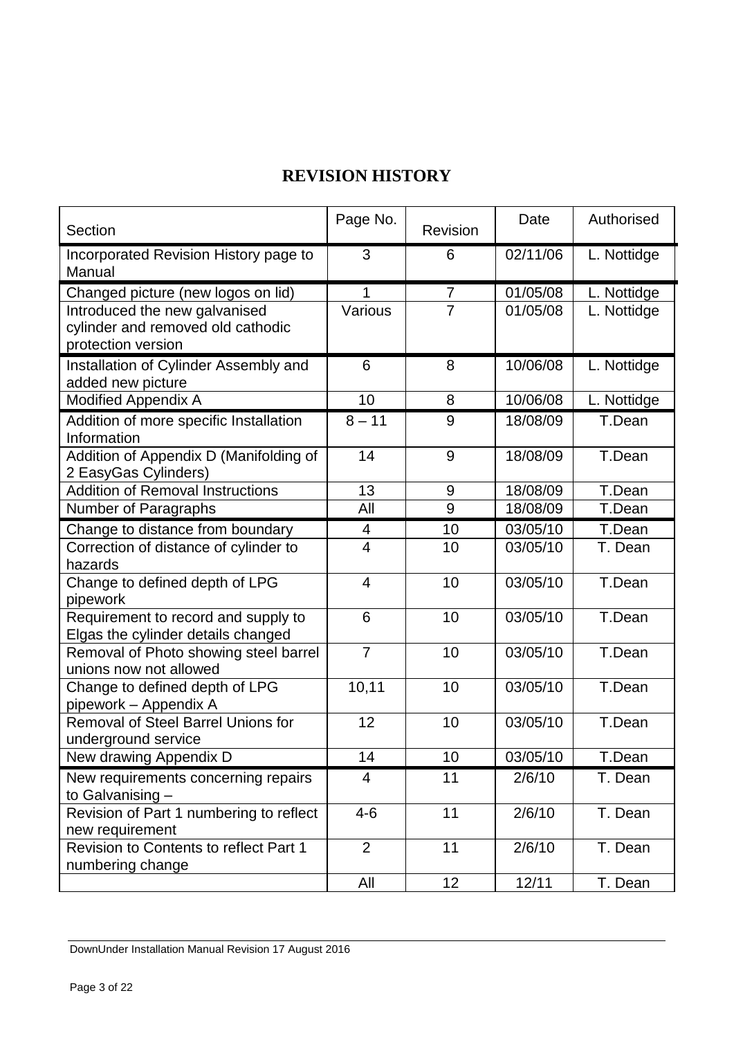# **REVISION HISTORY**

| Section                                         | Page No.       | Revision       | Date     | Authorised  |  |
|-------------------------------------------------|----------------|----------------|----------|-------------|--|
| Incorporated Revision History page to<br>Manual | 3              | 6              | 02/11/06 | L. Nottidge |  |
| Changed picture (new logos on lid)              | 1              | $\overline{7}$ | 01/05/08 | L. Nottidge |  |
| Introduced the new galvanised                   | Various        | $\overline{7}$ | 01/05/08 | L. Nottidge |  |
| cylinder and removed old cathodic               |                |                |          |             |  |
| protection version                              |                |                |          |             |  |
| Installation of Cylinder Assembly and           | 6              | 8              | 10/06/08 | L. Nottidge |  |
| added new picture                               |                |                |          |             |  |
| <b>Modified Appendix A</b>                      | 10             | 8              | 10/06/08 | L. Nottidge |  |
| Addition of more specific Installation          | $8 - 11$       | 9              | 18/08/09 | T.Dean      |  |
| Information                                     |                |                |          |             |  |
| Addition of Appendix D (Manifolding of          | 14             | 9              | 18/08/09 | T.Dean      |  |
| 2 EasyGas Cylinders)                            |                |                |          |             |  |
| <b>Addition of Removal Instructions</b>         | 13             | 9              | 18/08/09 | T.Dean      |  |
| Number of Paragraphs                            | All            | 9              | 18/08/09 | T.Dean      |  |
| Change to distance from boundary                | 4              | 10             | 03/05/10 | T.Dean      |  |
| Correction of distance of cylinder to           | $\overline{4}$ | 10             | 03/05/10 | T. Dean     |  |
| hazards                                         |                |                |          |             |  |
| Change to defined depth of LPG                  | $\overline{4}$ | 10             | 03/05/10 | T.Dean      |  |
| pipework                                        |                |                |          |             |  |
| Requirement to record and supply to             | 6              | 10             | 03/05/10 | T.Dean      |  |
| Elgas the cylinder details changed              |                |                |          |             |  |
| Removal of Photo showing steel barrel           | $\overline{7}$ | 10             | 03/05/10 | T.Dean      |  |
| unions now not allowed                          |                |                |          |             |  |
| Change to defined depth of LPG                  | 10,11          | 10             | 03/05/10 | T.Dean      |  |
| pipework - Appendix A                           |                |                |          |             |  |
| <b>Removal of Steel Barrel Unions for</b>       | 12             | 10             | 03/05/10 | T.Dean      |  |
| underground service                             |                |                |          |             |  |
| New drawing Appendix D                          | 14             | 10             | 03/05/10 | T.Dean      |  |
| New requirements concerning repairs             | $\overline{4}$ | 11             | 2/6/10   | T. Dean     |  |
| to Galvanising -                                |                |                |          |             |  |
| Revision of Part 1 numbering to reflect         | $4 - 6$        | 11             | 2/6/10   | T. Dean     |  |
| new requirement                                 |                |                |          |             |  |
| Revision to Contents to reflect Part 1          | $\overline{2}$ | 11             | 2/6/10   | T. Dean     |  |
| numbering change                                |                |                |          |             |  |
|                                                 | All            | 12             | 12/11    | T. Dean     |  |

DownUnder Installation Manual Revision 17 August 2016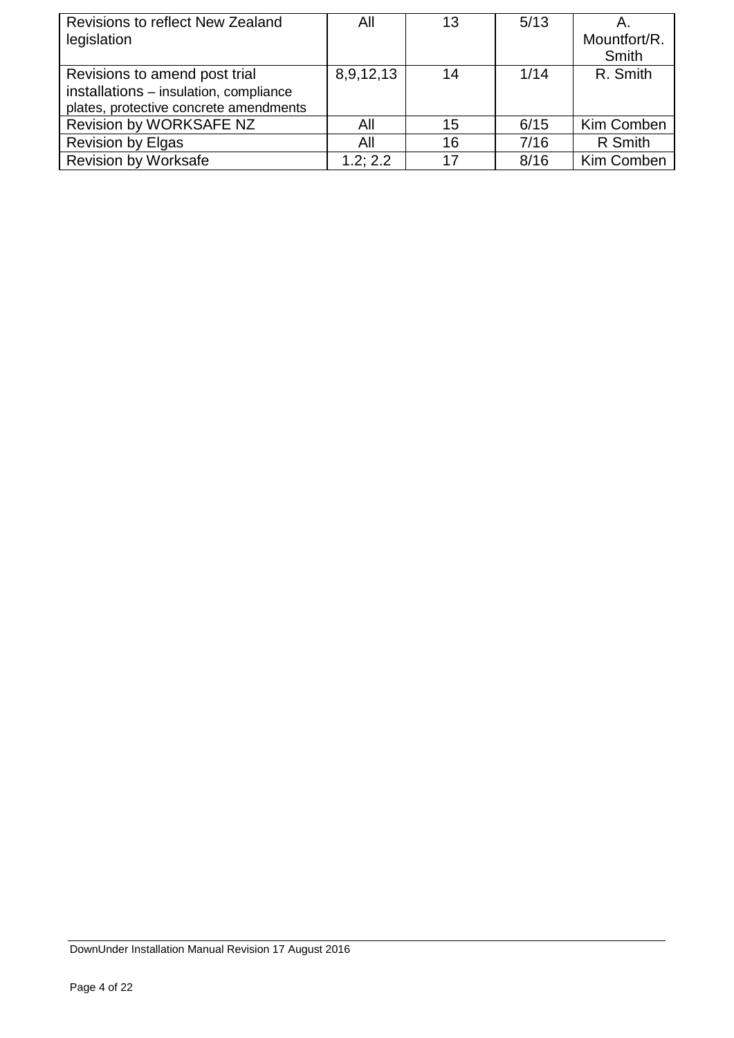| Revisions to reflect New Zealand<br>legislation                                                                   | All       | 13 | 5/13 | Α.<br>Mountfort/R.<br>Smith |
|-------------------------------------------------------------------------------------------------------------------|-----------|----|------|-----------------------------|
| Revisions to amend post trial<br>installations - insulation, compliance<br>plates, protective concrete amendments | 8,9,12,13 | 14 | 1/14 | R. Smith                    |
| Revision by WORKSAFE NZ                                                                                           | All       | 15 | 6/15 | Kim Comben                  |
| <b>Revision by Elgas</b>                                                                                          | All       | 16 | 7/16 | R Smith                     |
| <b>Revision by Worksafe</b>                                                                                       | 1.2:2.2   | 17 | 8/16 | Kim Comben                  |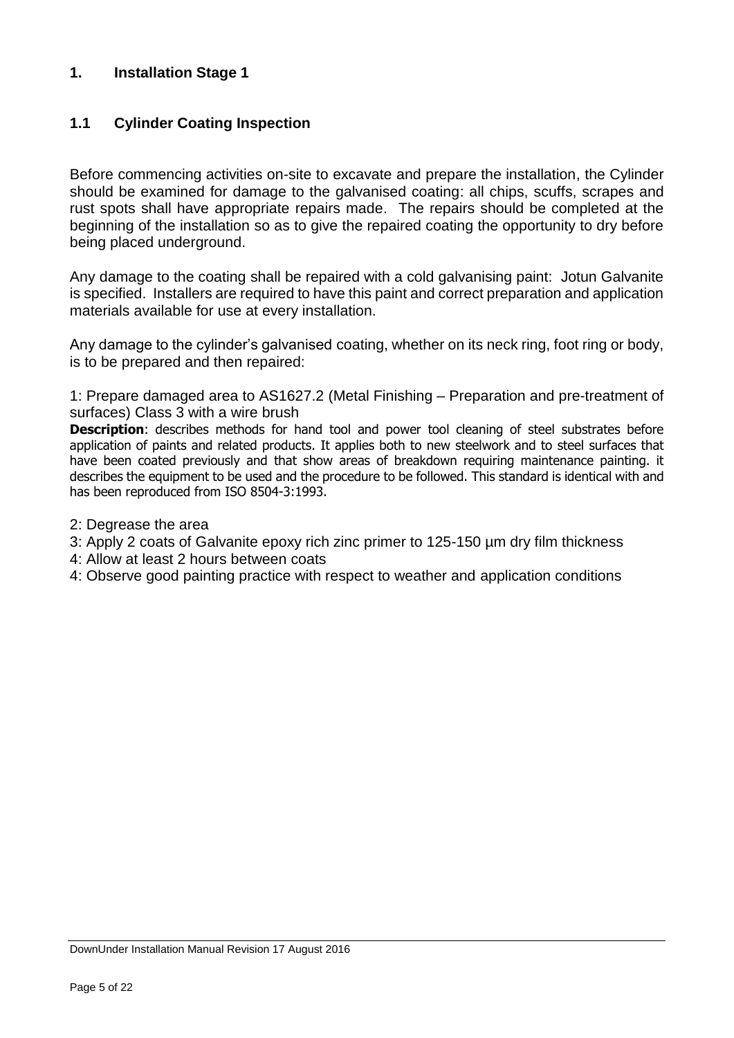## **1. Installation Stage 1**

# **1.1 Cylinder Coating Inspection**

Before commencing activities on-site to excavate and prepare the installation, the Cylinder should be examined for damage to the galvanised coating: all chips, scuffs, scrapes and rust spots shall have appropriate repairs made. The repairs should be completed at the beginning of the installation so as to give the repaired coating the opportunity to dry before being placed underground.

Any damage to the coating shall be repaired with a cold galvanising paint: Jotun Galvanite is specified. Installers are required to have this paint and correct preparation and application materials available for use at every installation.

Any damage to the cylinder's galvanised coating, whether on its neck ring, foot ring or body, is to be prepared and then repaired:

1: Prepare damaged area to AS1627.2 (Metal Finishing – Preparation and pre-treatment of surfaces) Class 3 with a wire brush

**Description**: describes methods for hand tool and power tool cleaning of steel substrates before application of paints and related products. It applies both to new steelwork and to steel surfaces that have been coated previously and that show areas of breakdown requiring maintenance painting. it describes the equipment to be used and the procedure to be followed. This standard is identical with and has been reproduced from ISO 8504-3:1993.

- 2: Degrease the area
- 3: Apply 2 coats of Galvanite epoxy rich zinc primer to 125-150 µm dry film thickness
- 4: Allow at least 2 hours between coats
- 4: Observe good painting practice with respect to weather and application conditions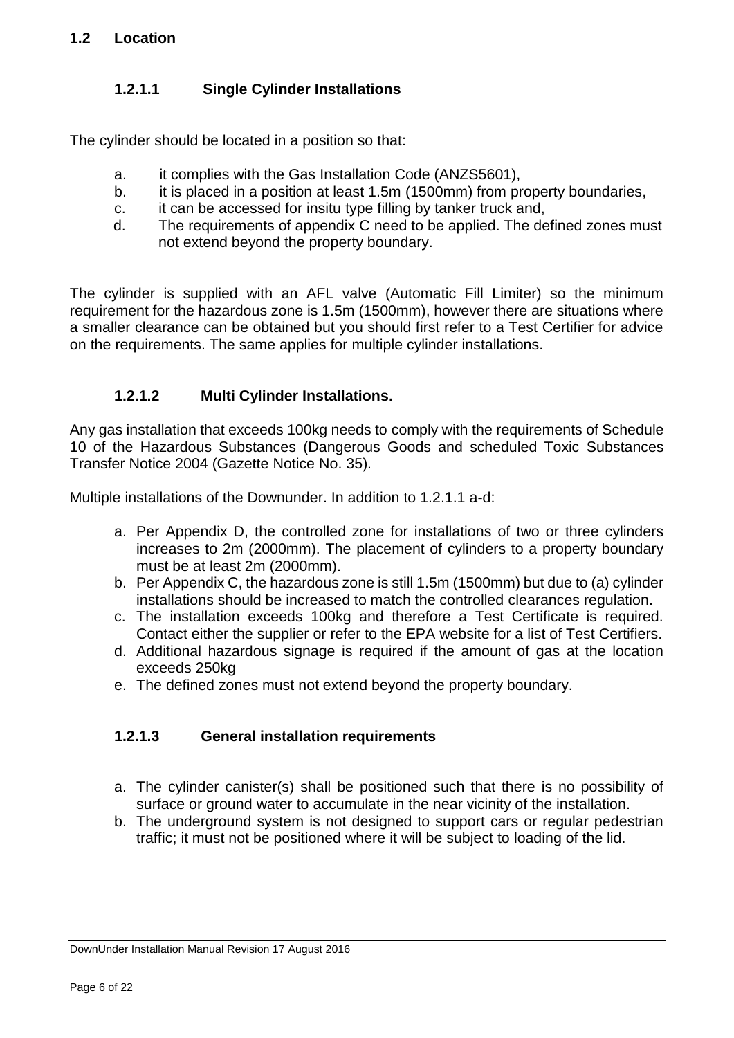# **1.2.1.1 Single Cylinder Installations**

The cylinder should be located in a position so that:

- a. it complies with the Gas Installation Code (ANZS5601),
- b. it is placed in a position at least 1.5m (1500mm) from property boundaries,
- c. it can be accessed for insitu type filling by tanker truck and,
- d. The requirements of appendix C need to be applied. The defined zones must not extend beyond the property boundary.

The cylinder is supplied with an AFL valve (Automatic Fill Limiter) so the minimum requirement for the hazardous zone is 1.5m (1500mm), however there are situations where a smaller clearance can be obtained but you should first refer to a Test Certifier for advice on the requirements. The same applies for multiple cylinder installations.

# **1.2.1.2 Multi Cylinder Installations.**

Any gas installation that exceeds 100kg needs to comply with the requirements of Schedule 10 of the Hazardous Substances (Dangerous Goods and scheduled Toxic Substances Transfer Notice 2004 (Gazette Notice No. 35).

Multiple installations of the Downunder. In addition to 1.2.1.1 a-d:

- a. Per Appendix D, the controlled zone for installations of two or three cylinders increases to 2m (2000mm). The placement of cylinders to a property boundary must be at least 2m (2000mm).
- b. Per Appendix C, the hazardous zone is still 1.5m (1500mm) but due to (a) cylinder installations should be increased to match the controlled clearances regulation.
- c. The installation exceeds 100kg and therefore a Test Certificate is required. Contact either the supplier or refer to the EPA website for a list of Test Certifiers.
- d. Additional hazardous signage is required if the amount of gas at the location exceeds 250kg
- e. The defined zones must not extend beyond the property boundary.

# **1.2.1.3 General installation requirements**

- a. The cylinder canister(s) shall be positioned such that there is no possibility of surface or ground water to accumulate in the near vicinity of the installation.
- b. The underground system is not designed to support cars or regular pedestrian traffic; it must not be positioned where it will be subject to loading of the lid.

DownUnder Installation Manual Revision 17 August 2016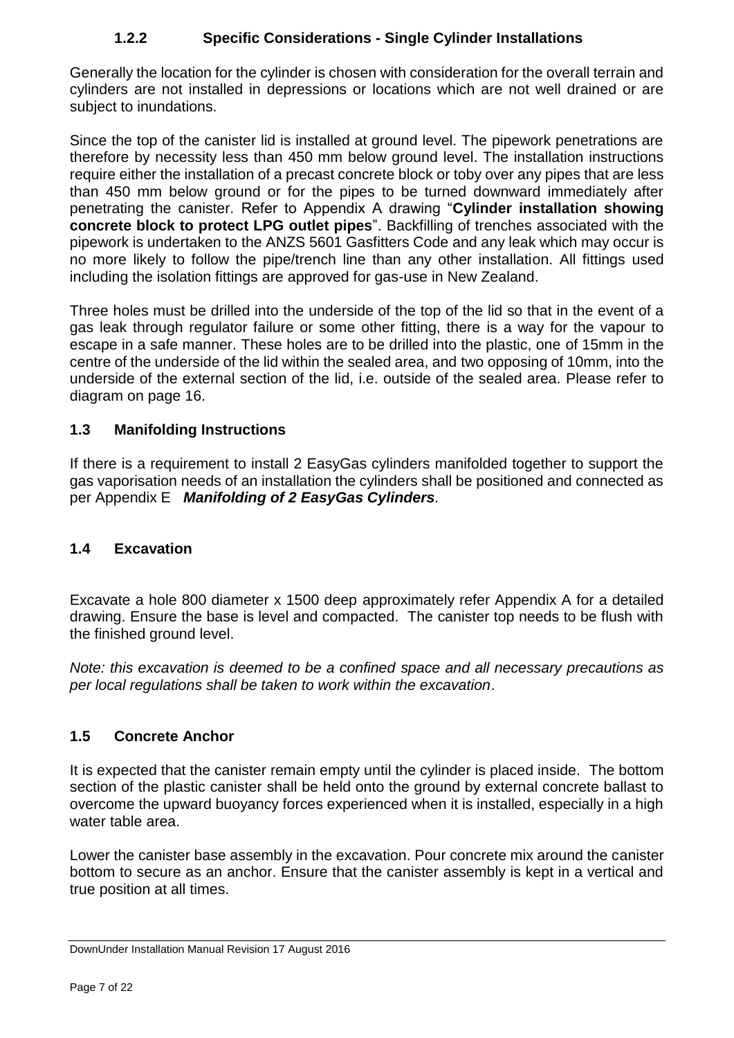# **1.2.2 Specific Considerations - Single Cylinder Installations**

Generally the location for the cylinder is chosen with consideration for the overall terrain and cylinders are not installed in depressions or locations which are not well drained or are subject to inundations.

Since the top of the canister lid is installed at ground level. The pipework penetrations are therefore by necessity less than 450 mm below ground level. The installation instructions require either the installation of a precast concrete block or toby over any pipes that are less than 450 mm below ground or for the pipes to be turned downward immediately after penetrating the canister. Refer to Appendix A drawing "**Cylinder installation showing concrete block to protect LPG outlet pipes**". Backfilling of trenches associated with the pipework is undertaken to the ANZS 5601 Gasfitters Code and any leak which may occur is no more likely to follow the pipe/trench line than any other installation. All fittings used including the isolation fittings are approved for gas-use in New Zealand.

Three holes must be drilled into the underside of the top of the lid so that in the event of a gas leak through regulator failure or some other fitting, there is a way for the vapour to escape in a safe manner. These holes are to be drilled into the plastic, one of 15mm in the centre of the underside of the lid within the sealed area, and two opposing of 10mm, into the underside of the external section of the lid, i.e. outside of the sealed area. Please refer to diagram on page 16.

# **1.3 Manifolding Instructions**

If there is a requirement to install 2 EasyGas cylinders manifolded together to support the gas vaporisation needs of an installation the cylinders shall be positioned and connected as per Appendix E *Manifolding of 2 EasyGas Cylinders.*

# **1.4 Excavation**

Excavate a hole 800 diameter x 1500 deep approximately refer Appendix A for a detailed drawing. Ensure the base is level and compacted. The canister top needs to be flush with the finished ground level.

*Note: this excavation is deemed to be a confined space and all necessary precautions as per local regulations shall be taken to work within the excavation*.

# **1.5 Concrete Anchor**

It is expected that the canister remain empty until the cylinder is placed inside. The bottom section of the plastic canister shall be held onto the ground by external concrete ballast to overcome the upward buoyancy forces experienced when it is installed, especially in a high water table area.

Lower the canister base assembly in the excavation. Pour concrete mix around the canister bottom to secure as an anchor. Ensure that the canister assembly is kept in a vertical and true position at all times.

DownUnder Installation Manual Revision 17 August 2016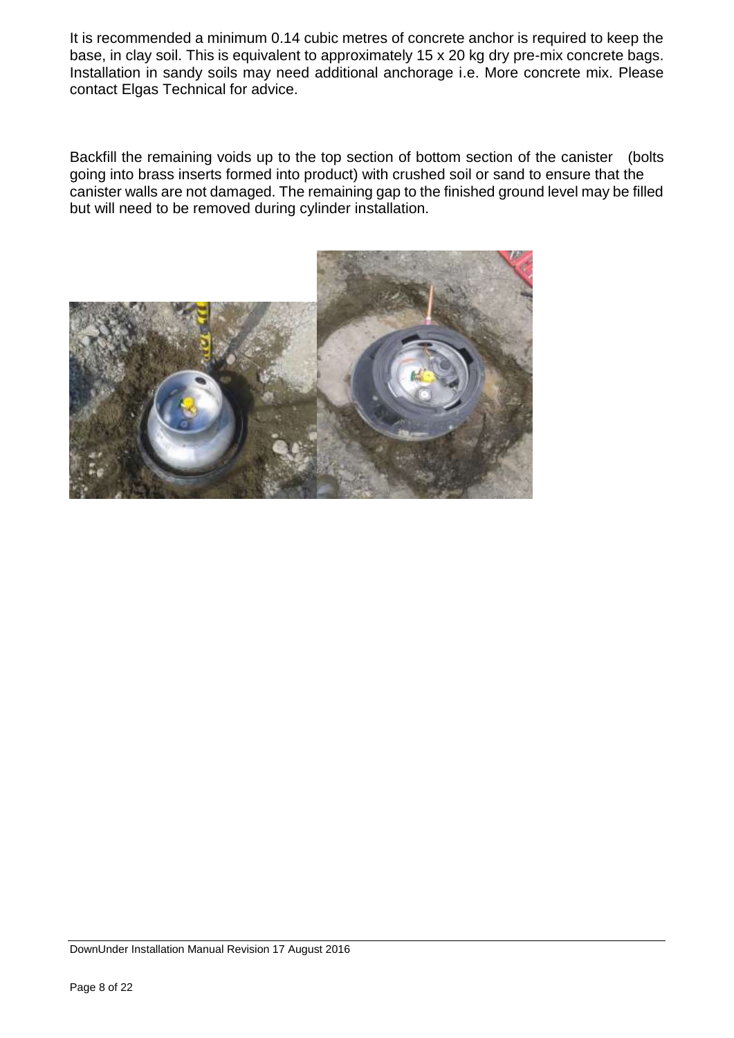It is recommended a minimum 0.14 cubic metres of concrete anchor is required to keep the base, in clay soil. This is equivalent to approximately 15 x 20 kg dry pre-mix concrete bags. Installation in sandy soils may need additional anchorage i.e. More concrete mix. Please contact Elgas Technical for advice.

Backfill the remaining voids up to the top section of bottom section of the canister (bolts going into brass inserts formed into product) with crushed soil or sand to ensure that the canister walls are not damaged. The remaining gap to the finished ground level may be filled but will need to be removed during cylinder installation.



DownUnder Installation Manual Revision 17 August 2016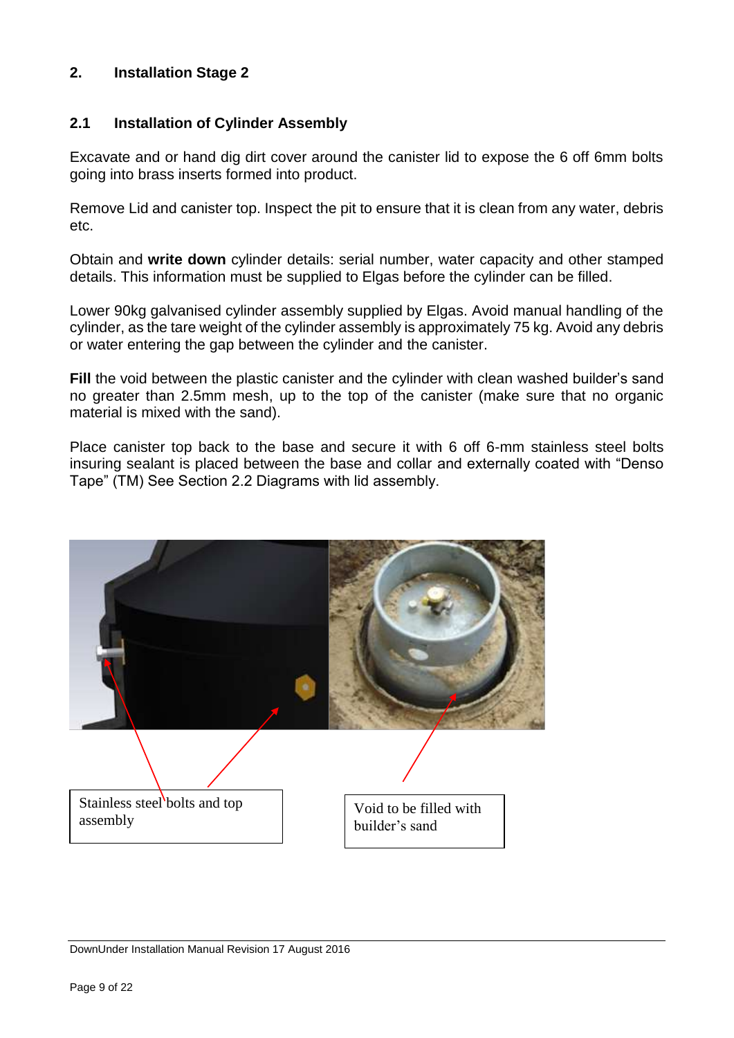## **2. Installation Stage 2**

## **2.1 Installation of Cylinder Assembly**

Excavate and or hand dig dirt cover around the canister lid to expose the 6 off 6mm bolts going into brass inserts formed into product.

Remove Lid and canister top. Inspect the pit to ensure that it is clean from any water, debris etc.

Obtain and **write down** cylinder details: serial number, water capacity and other stamped details. This information must be supplied to Elgas before the cylinder can be filled.

Lower 90kg galvanised cylinder assembly supplied by Elgas. Avoid manual handling of the cylinder, as the tare weight of the cylinder assembly is approximately 75 kg. Avoid any debris or water entering the gap between the cylinder and the canister.

Fill the void between the plastic canister and the cylinder with clean washed builder's sand no greater than 2.5mm mesh, up to the top of the canister (make sure that no organic material is mixed with the sand).

Place canister top back to the base and secure it with 6 off 6-mm stainless steel bolts insuring sealant is placed between the base and collar and externally coated with "Denso Tape" (TM) See Section 2.2 Diagrams with lid assembly.

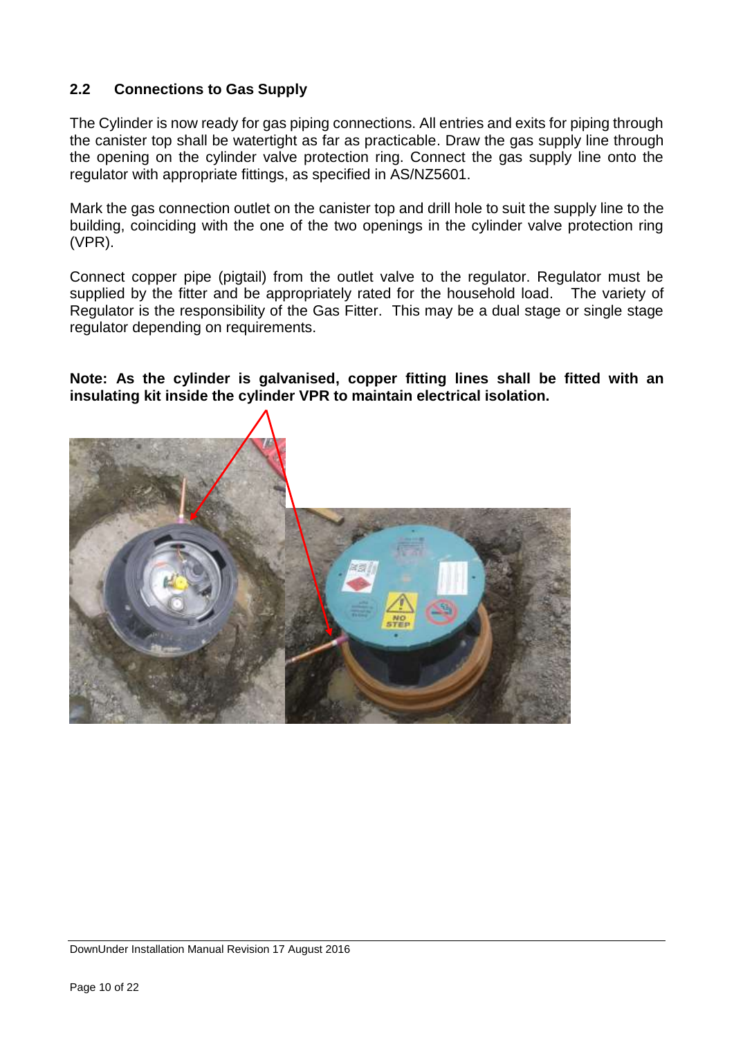# **2.2 Connections to Gas Supply**

The Cylinder is now ready for gas piping connections. All entries and exits for piping through the canister top shall be watertight as far as practicable. Draw the gas supply line through the opening on the cylinder valve protection ring. Connect the gas supply line onto the regulator with appropriate fittings, as specified in AS/NZ5601.

Mark the gas connection outlet on the canister top and drill hole to suit the supply line to the building, coinciding with the one of the two openings in the cylinder valve protection ring (VPR).

Connect copper pipe (pigtail) from the outlet valve to the regulator. Regulator must be supplied by the fitter and be appropriately rated for the household load. The variety of Regulator is the responsibility of the Gas Fitter. This may be a dual stage or single stage regulator depending on requirements.

## **Note: As the cylinder is galvanised, copper fitting lines shall be fitted with an insulating kit inside the cylinder VPR to maintain electrical isolation.**

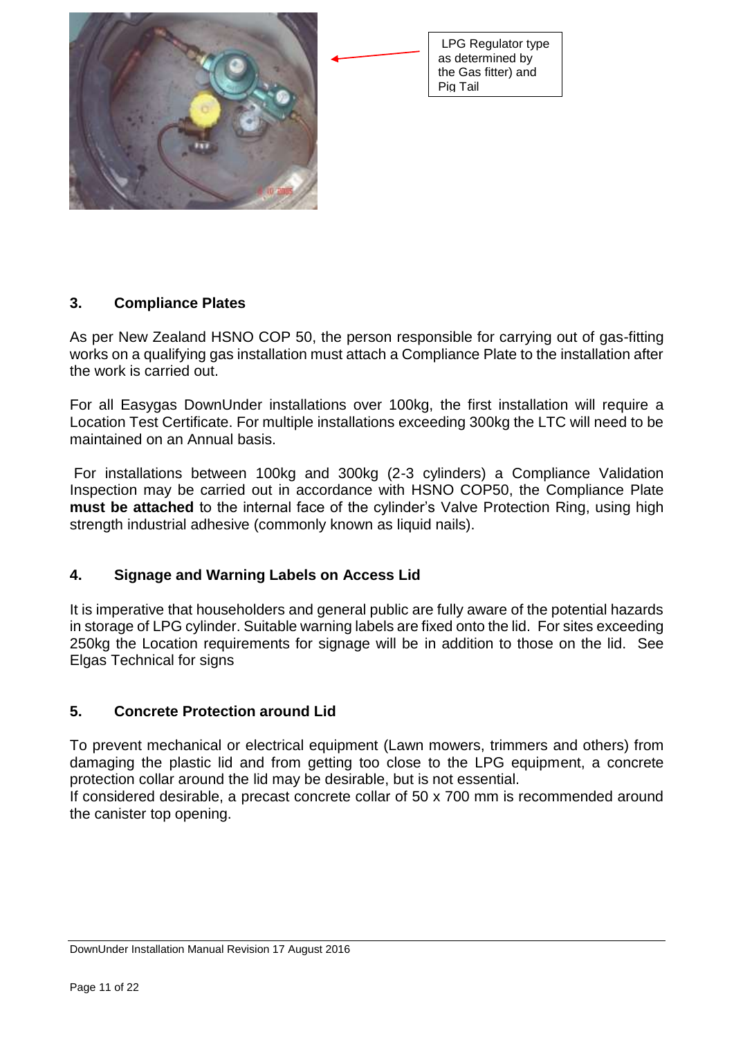



# **3. Compliance Plates**

As per New Zealand HSNO COP 50, the person responsible for carrying out of gas-fitting works on a qualifying gas installation must attach a Compliance Plate to the installation after the work is carried out.

For all Easygas DownUnder installations over 100kg, the first installation will require a Location Test Certificate. For multiple installations exceeding 300kg the LTC will need to be maintained on an Annual basis.

For installations between 100kg and 300kg (2-3 cylinders) a Compliance Validation Inspection may be carried out in accordance with HSNO COP50, the Compliance Plate **must be attached** to the internal face of the cylinder's Valve Protection Ring, using high strength industrial adhesive (commonly known as liquid nails).

# **4. Signage and Warning Labels on Access Lid**

It is imperative that householders and general public are fully aware of the potential hazards in storage of LPG cylinder. Suitable warning labels are fixed onto the lid. For sites exceeding 250kg the Location requirements for signage will be in addition to those on the lid. See Elgas Technical for signs

# **5. Concrete Protection around Lid**

To prevent mechanical or electrical equipment (Lawn mowers, trimmers and others) from damaging the plastic lid and from getting too close to the LPG equipment, a concrete protection collar around the lid may be desirable, but is not essential.

If considered desirable, a precast concrete collar of 50 x 700 mm is recommended around the canister top opening.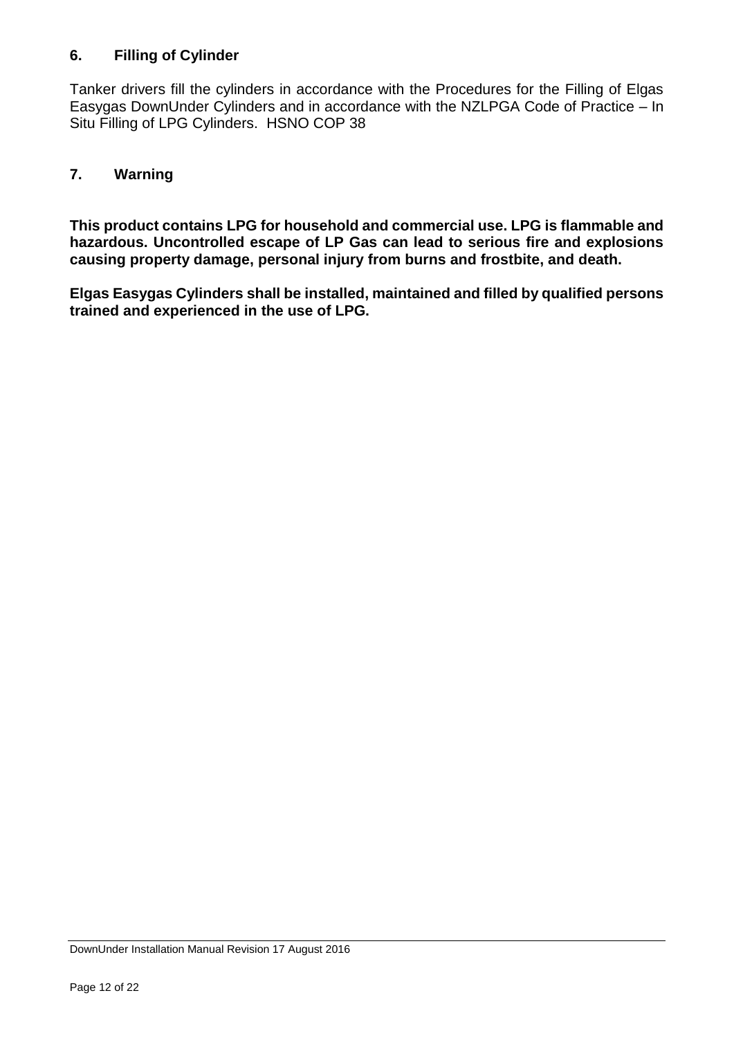# **6. Filling of Cylinder**

Tanker drivers fill the cylinders in accordance with the Procedures for the Filling of Elgas Easygas DownUnder Cylinders and in accordance with the NZLPGA Code of Practice – In Situ Filling of LPG Cylinders. HSNO COP 38

# **7. Warning**

**This product contains LPG for household and commercial use. LPG is flammable and hazardous. Uncontrolled escape of LP Gas can lead to serious fire and explosions causing property damage, personal injury from burns and frostbite, and death.** 

**Elgas Easygas Cylinders shall be installed, maintained and filled by qualified persons trained and experienced in the use of LPG.**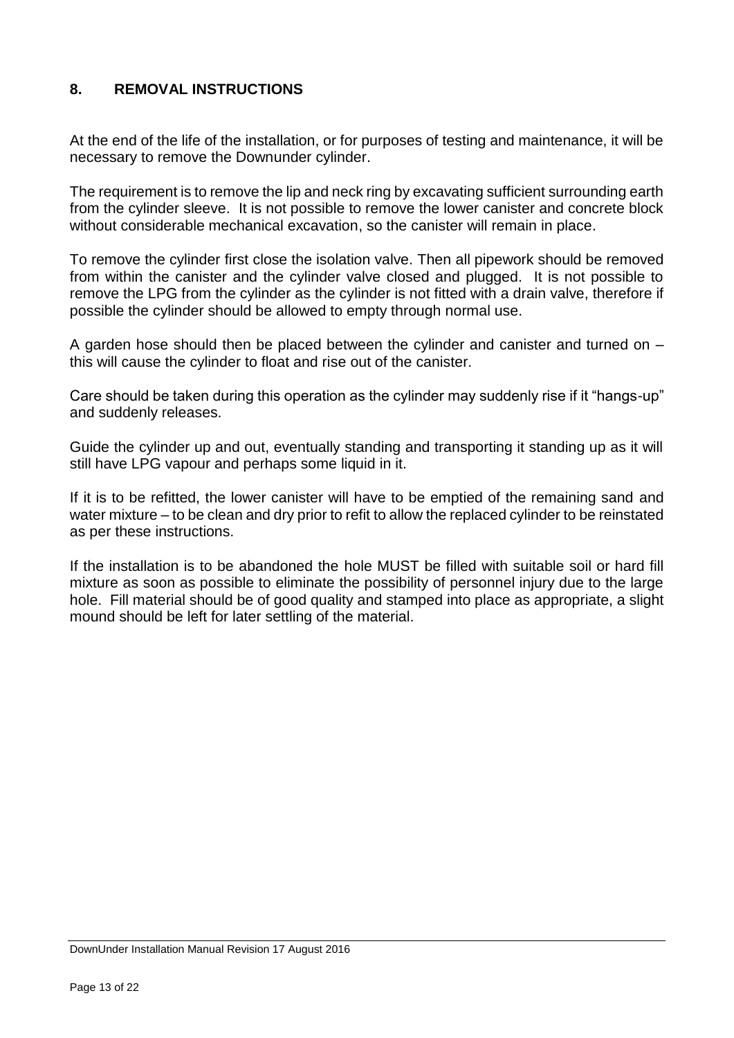# **8. REMOVAL INSTRUCTIONS**

At the end of the life of the installation, or for purposes of testing and maintenance, it will be necessary to remove the Downunder cylinder.

The requirement is to remove the lip and neck ring by excavating sufficient surrounding earth from the cylinder sleeve. It is not possible to remove the lower canister and concrete block without considerable mechanical excavation, so the canister will remain in place.

To remove the cylinder first close the isolation valve. Then all pipework should be removed from within the canister and the cylinder valve closed and plugged. It is not possible to remove the LPG from the cylinder as the cylinder is not fitted with a drain valve, therefore if possible the cylinder should be allowed to empty through normal use.

A garden hose should then be placed between the cylinder and canister and turned on – this will cause the cylinder to float and rise out of the canister.

Care should be taken during this operation as the cylinder may suddenly rise if it "hangs-up" and suddenly releases.

Guide the cylinder up and out, eventually standing and transporting it standing up as it will still have LPG vapour and perhaps some liquid in it.

If it is to be refitted, the lower canister will have to be emptied of the remaining sand and water mixture – to be clean and dry prior to refit to allow the replaced cylinder to be reinstated as per these instructions.

If the installation is to be abandoned the hole MUST be filled with suitable soil or hard fill mixture as soon as possible to eliminate the possibility of personnel injury due to the large hole. Fill material should be of good quality and stamped into place as appropriate, a slight mound should be left for later settling of the material.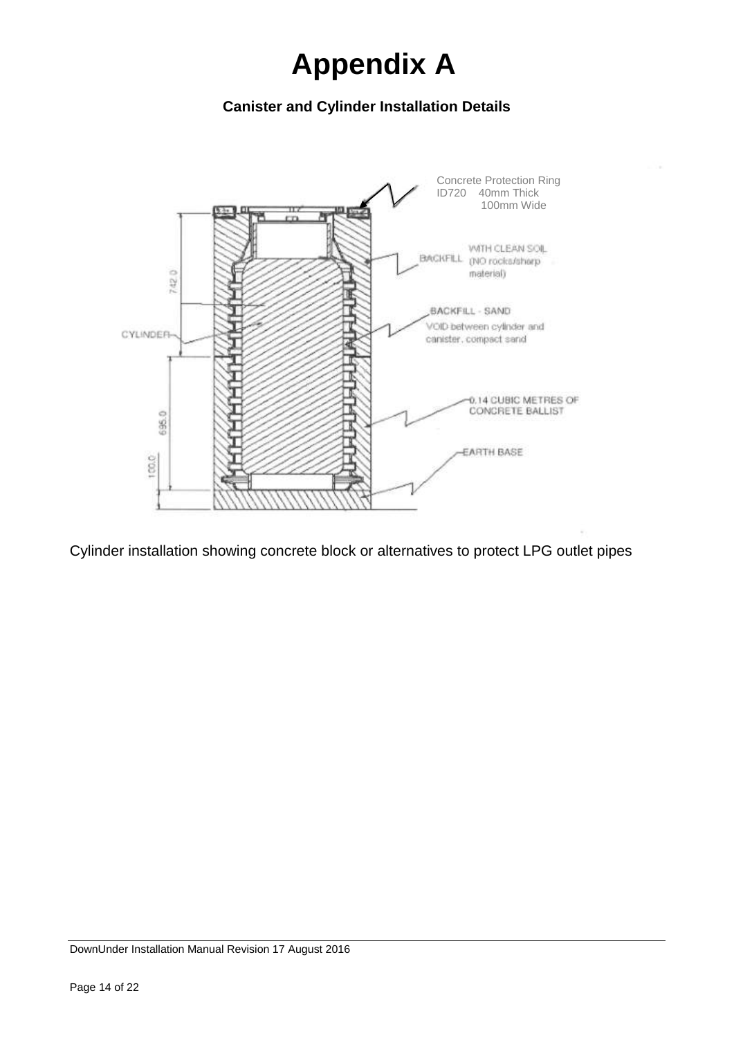# **Appendix A**

# **Canister and Cylinder Installation Details**



Cylinder installation showing concrete block or alternatives to protect LPG outlet pipes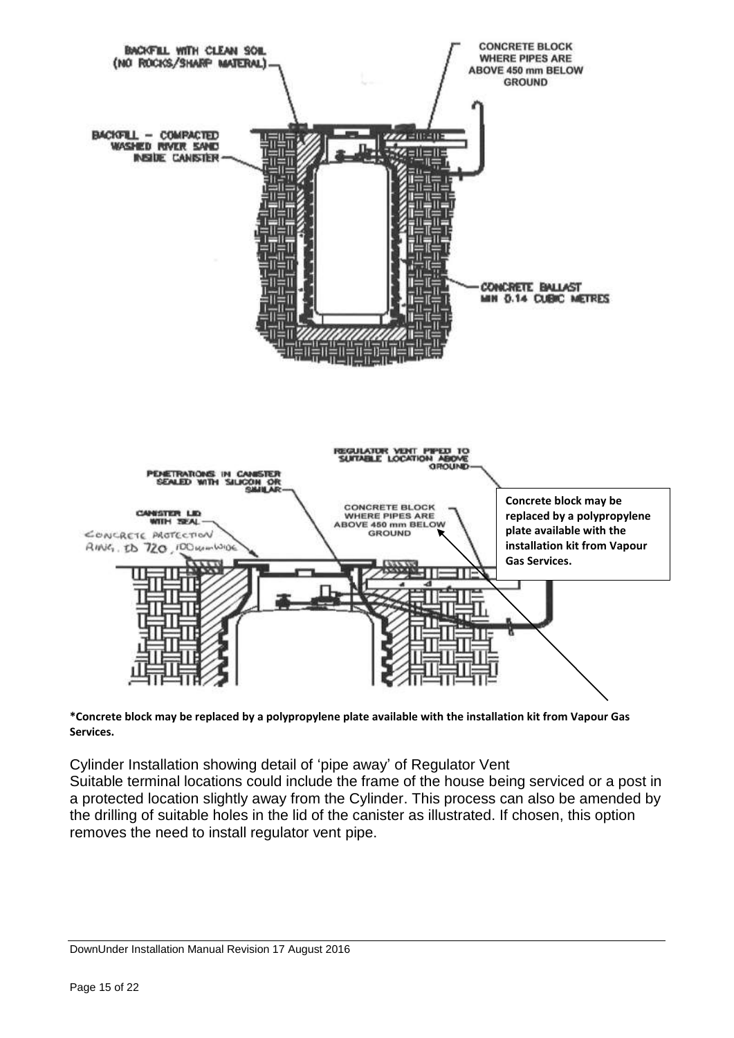

**\*Concrete block may be replaced by a polypropylene plate available with the installation kit from Vapour Gas Services.** 

Cylinder Installation showing detail of 'pipe away' of Regulator Vent Suitable terminal locations could include the frame of the house being serviced or a post in a protected location slightly away from the Cylinder. This process can also be amended by the drilling of suitable holes in the lid of the canister as illustrated. If chosen, this option removes the need to install regulator vent pipe.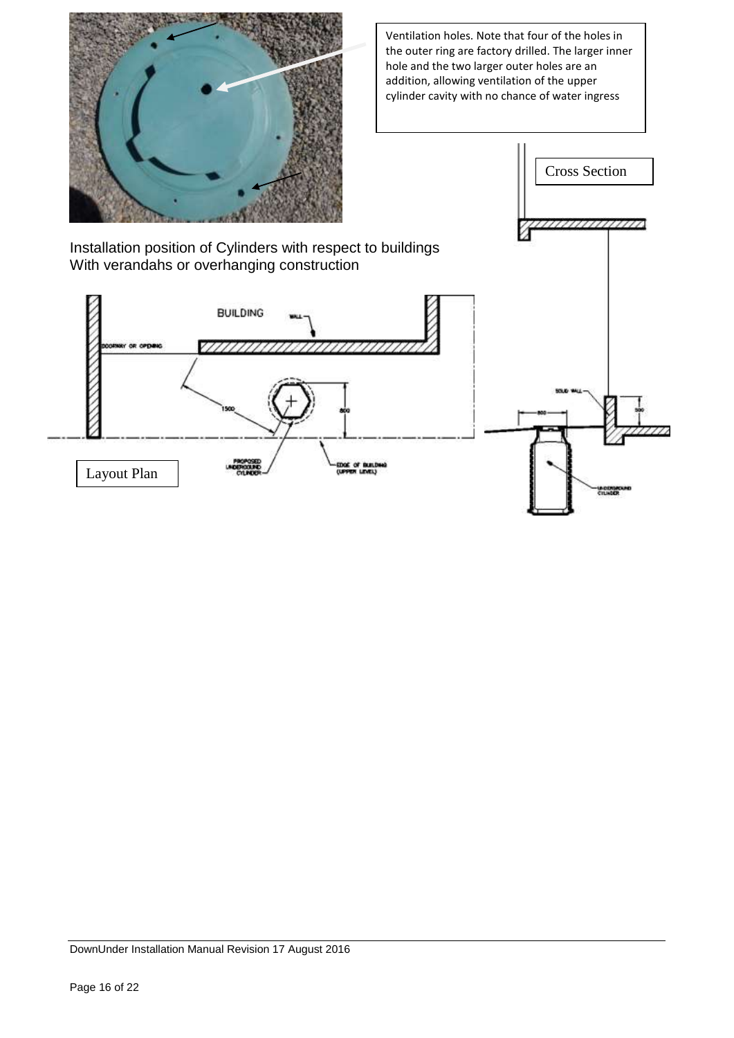

Ventilation holes. Note that four of the holes in the outer ring are factory drilled. The larger inner hole and the two larger outer holes are an addition, allowing ventilation of the upper cylinder cavity with no chance of water ingress



Installation position of Cylinders with respect to buildings With verandahs or overhanging construction

**BUILDING** 

DownUnder Installation Manual Revision 17 August 2016

Layout Plan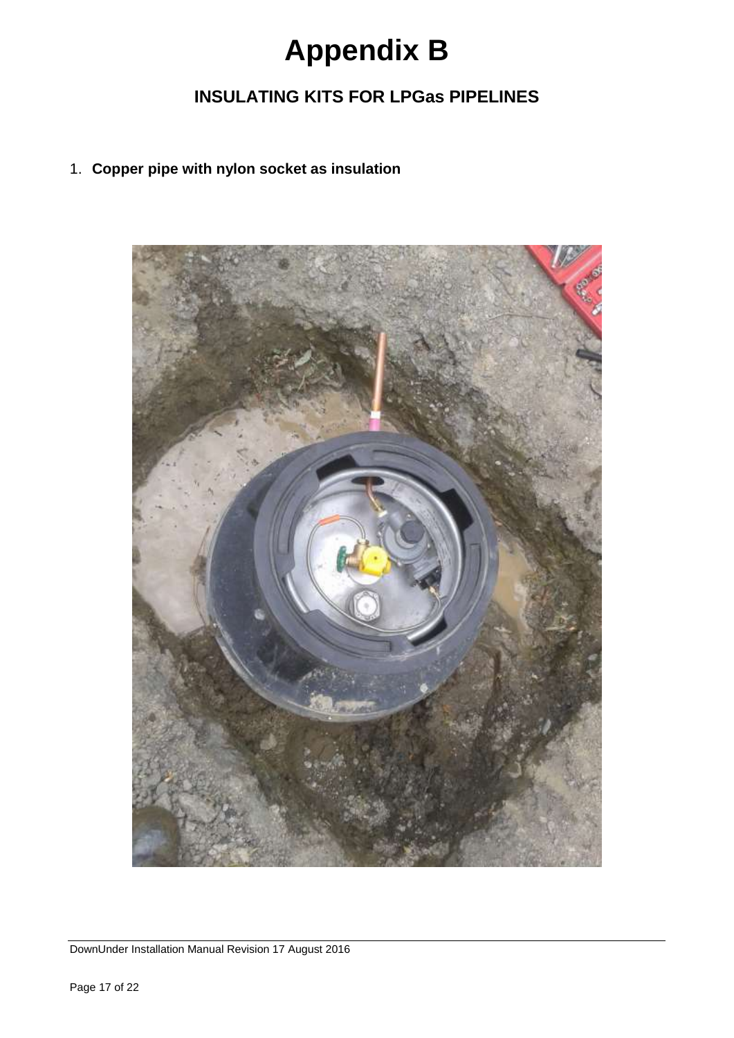# **Appendix B**

# **INSULATING KITS FOR LPGas PIPELINES**

## 1. **Copper pipe with nylon socket as insulation**



DownUnder Installation Manual Revision 17 August 2016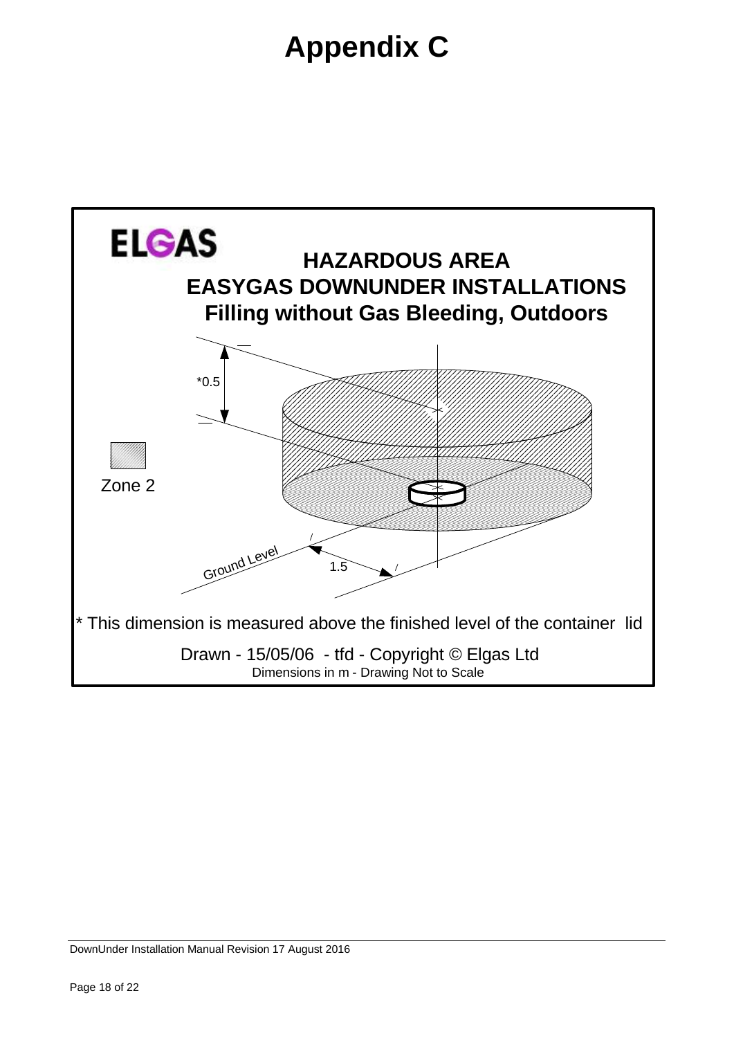# **Appendix C**

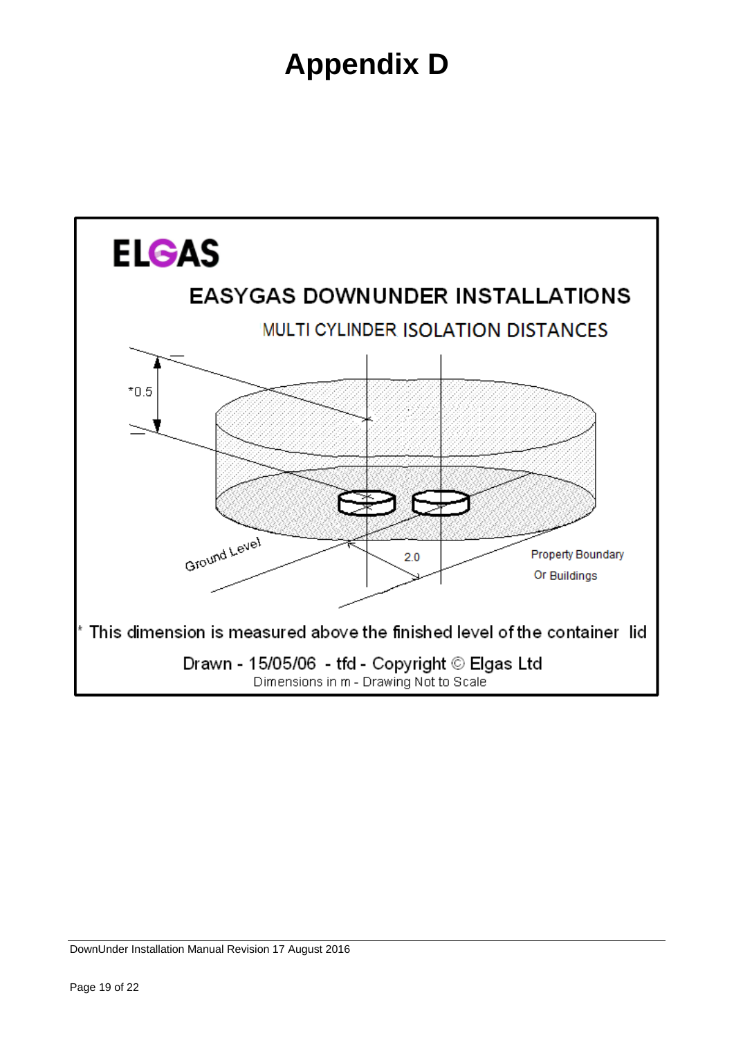# **Appendix D**

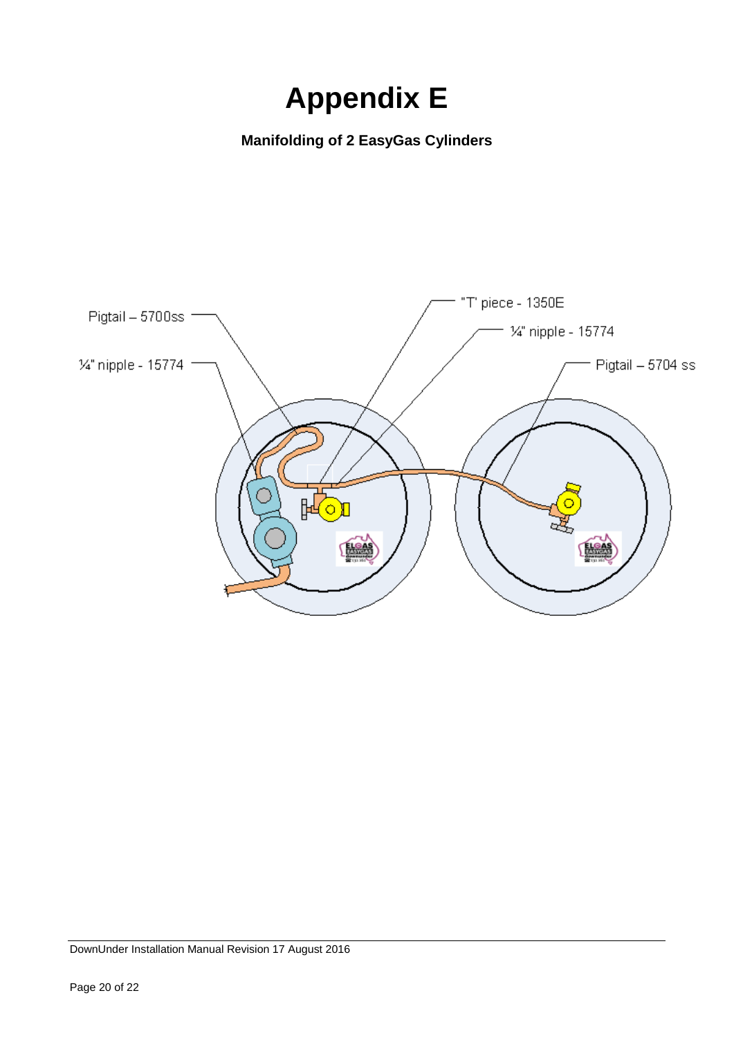# **Appendix E**

**Manifolding of 2 EasyGas Cylinders**

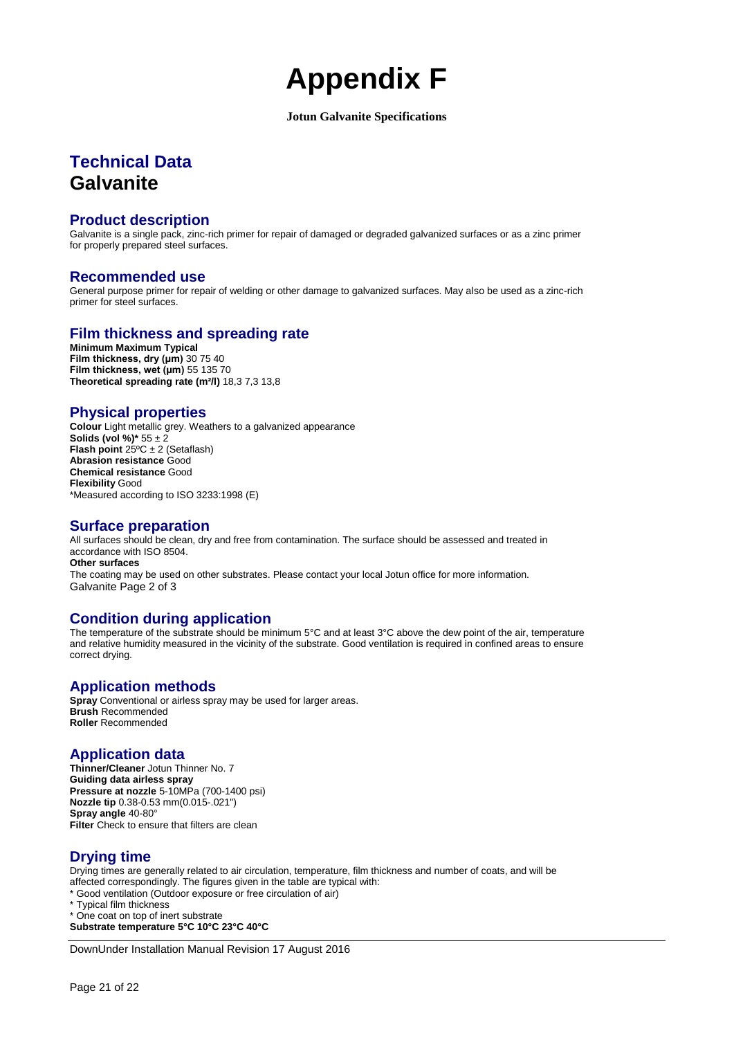# **Appendix F**

#### **Jotun Galvanite Specifications**

# **Technical Data Galvanite**

### **Product description**

Galvanite is a single pack, zinc-rich primer for repair of damaged or degraded galvanized surfaces or as a zinc primer for properly prepared steel surfaces.

### **Recommended use**

General purpose primer for repair of welding or other damage to galvanized surfaces. May also be used as a zinc-rich primer for steel surfaces.

## **Film thickness and spreading rate**

**Minimum Maximum Typical Film thickness, dry (μm)** 30 75 40 **Film thickness, wet (μm)** 55 135 70 **Theoretical spreading rate (m²/l)** 18,3 7,3 13,8

### **Physical properties**

**Colour** Light metallic grey. Weathers to a galvanized appearance **Solids (vol %)\***  $55 \pm 2$ **Flash point** 25ºC ± 2 (Setaflash) **Abrasion resistance** Good **Chemical resistance** Good **Flexibility** Good \*Measured according to ISO 3233:1998 (E)

### **Surface preparation**

All surfaces should be clean, dry and free from contamination. The surface should be assessed and treated in accordance with ISO 8504. **Other surfaces** The coating may be used on other substrates. Please contact your local Jotun office for more information. Galvanite Page 2 of 3

## **Condition during application**

The temperature of the substrate should be minimum 5°C and at least 3°C above the dew point of the air, temperature and relative humidity measured in the vicinity of the substrate. Good ventilation is required in confined areas to ensure correct drying.

# **Application methods**

**Spray** Conventional or airless spray may be used for larger areas. **Brush** Recommended **Roller** Recommended

### **Application data**

**Thinner/Cleaner** Jotun Thinner No. 7 **Guiding data airless spray Pressure at nozzle** 5-10MPa (700-1400 psi) **Nozzle tip** 0.38-0.53 mm(0.015-.021") **Spray angle** 40-80° **Filter** Check to ensure that filters are clean

# **Drying time**

Drying times are generally related to air circulation, temperature, film thickness and number of coats, and will be affected correspondingly. The figures given in the table are typical with:

\* Good ventilation (Outdoor exposure or free circulation of air)

\* Typical film thickness

\* One coat on top of inert substrate

**Substrate temperature 5°C 10°C 23°C 40°C**

DownUnder Installation Manual Revision 17 August 2016